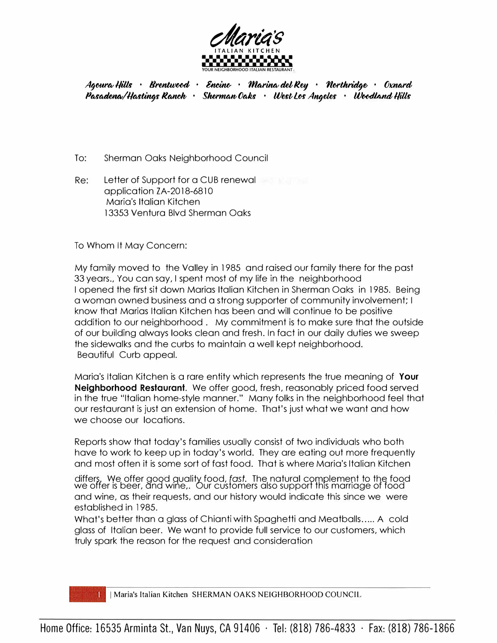

*Agoura Hills · Brentwood · Encino · Marina del Rey · Northridge · Oxnard PMMftn�//IMWl9f fl�* · *SlurltWt!Oc.h* · *Wertlu Angelu* · *W�lli/Js*

- To: Sherman Oaks Neighborhood Council
- Re: Letter of Support for a CUB renewal application ZA-2018-6810 Maria's Italian Kitchen 13353 Ventura Blvd Sherman Oaks

To Whom It May Concern:

My family moved to the Valley in 1985 and raised our family there for the past 33 years., You can say, I spent most of my life in the neighborhood I opened the first sit down Marias Italian Kitchen in Sherman Oaks in 1985. Being a woman owned business and a strong supporter of community involvement; I know that Marias Italian Kitchen has been and will continue to be positive addition to our neighborhood . My commitment is to make sure that the outside of our building always looks clean and fresh. In fact in our daily duties we sweep the sidewalks and the curbs to maintain a well kept neighborhood. Beautiful Curb appeal.

Maria's Italian Kitchen is a rare entity which represents the true meaning of **Your Neighborhood Restaurant.** We offer good, fresh, reasonably priced food served in the true "Italian home-style manner." Many folks in the neighborhood feel that our restaurant is just an extension of home. That's just what we want and how we choose our locations.

Reports show that today's families usually consist of two individuals who both have to work to keep up in today's world. They are eating out more frequently and most often it is some sort of fast food. That is where Maria's Italian Kitchen

differs. We offer good quality food, *fast.* The natural complement to the food we offer is beer, and wine,. Our customers also support this marriage of food and wine, as their requests, and our history would indicate this since we were established in 1985.

What's better than a glass of Chianti with Spaghetti and Meatballs..... A cold glass of Italian beer. We want to provide full service to our customers, which truly spark the reason for the request and consideration

I Maria's Italian Kitchen SHERMAN OAKS NEIGHBORHOOD COUNCIL